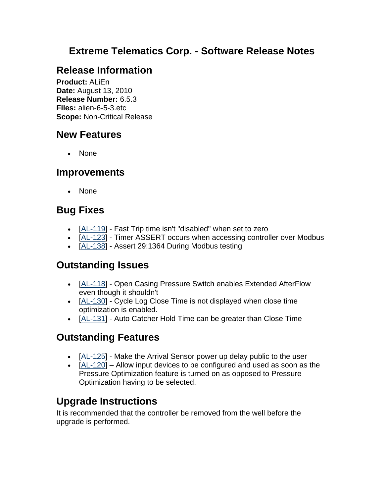## **Extreme Telematics Corp. - Software Release Notes**

# **Release Information**

**Product:** ALiEn **Date:** August 13, 2010 **Release Number:** 6.5.3 **Files:** alien-6-5-3.etc **Scope:** Non-Critical Release

## **New Features**

• None

#### **Improvements**

None

# **Bug Fixes**

- [AL-119] Fast Trip time isn't "disabled" when set to zero
- [AL-123] Timer ASSERT occurs when accessing controller over Modbus
- [AL-138] Assert 29:1364 During Modbus testing

### **Outstanding Issues**

- [AL-118] Open Casing Pressure Switch enables Extended AfterFlow even though it shouldn't
- [AL-130] Cycle Log Close Time is not displayed when close time optimization is enabled.
- [AL-131] Auto Catcher Hold Time can be greater than Close Time

# **Outstanding Features**

- [AL-125] Make the Arrival Sensor power up delay public to the user
- $\blacksquare$  [AL-120] Allow input devices to be configured and used as soon as the Pressure Optimization feature is turned on as opposed to Pressure Optimization having to be selected.

# **Upgrade Instructions**

It is recommended that the controller be removed from the well before the upgrade is performed.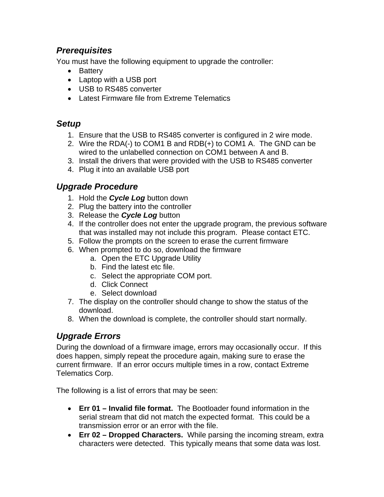#### *Prerequisites*

You must have the following equipment to upgrade the controller:

- Battery
- Laptop with a USB port
- USB to RS485 converter
- Latest Firmware file from Extreme Telematics

#### *Setup*

- 1. Ensure that the USB to RS485 converter is configured in 2 wire mode.
- 2. Wire the RDA(-) to COM1 B and RDB(+) to COM1 A. The GND can be wired to the unlabelled connection on COM1 between A and B.
- 3. Install the drivers that were provided with the USB to RS485 converter
- 4. Plug it into an available USB port

#### *Upgrade Procedure*

- 1. Hold the *Cycle Log* button down
- 2. Plug the battery into the controller
- 3. Release the *Cycle Log* button
- 4. If the controller does not enter the upgrade program, the previous software that was installed may not include this program. Please contact ETC.
- 5. Follow the prompts on the screen to erase the current firmware
- 6. When prompted to do so, download the firmware
	- a. Open the ETC Upgrade Utility
	- b. Find the latest etc file.
	- c. Select the appropriate COM port.
	- d. Click Connect
	- e. Select download
- 7. The display on the controller should change to show the status of the download.
- 8. When the download is complete, the controller should start normally.

#### *Upgrade Errors*

During the download of a firmware image, errors may occasionally occur. If this does happen, simply repeat the procedure again, making sure to erase the current firmware. If an error occurs multiple times in a row, contact Extreme Telematics Corp.

The following is a list of errors that may be seen:

- **Err 01 Invalid file format.** The Bootloader found information in the serial stream that did not match the expected format. This could be a transmission error or an error with the file.
- **Err 02 Dropped Characters.** While parsing the incoming stream, extra characters were detected. This typically means that some data was lost.